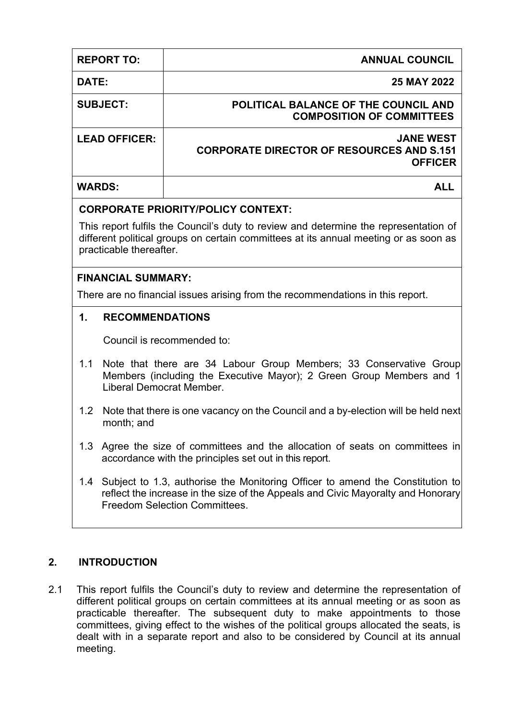| <b>REPORT TO:</b>                                                                                                                                                                                       |                                                                                                                                                                                                           | <b>ANNUAL COUNCIL</b>                                                                  |  |  |
|---------------------------------------------------------------------------------------------------------------------------------------------------------------------------------------------------------|-----------------------------------------------------------------------------------------------------------------------------------------------------------------------------------------------------------|----------------------------------------------------------------------------------------|--|--|
| DATE:                                                                                                                                                                                                   |                                                                                                                                                                                                           | <b>25 MAY 2022</b>                                                                     |  |  |
| <b>SUBJECT:</b>                                                                                                                                                                                         |                                                                                                                                                                                                           | POLITICAL BALANCE OF THE COUNCIL AND<br><b>COMPOSITION OF COMMITTEES</b>               |  |  |
| <b>LEAD OFFICER:</b>                                                                                                                                                                                    |                                                                                                                                                                                                           | <b>JANE WEST</b><br><b>CORPORATE DIRECTOR OF RESOURCES AND S.151</b><br><b>OFFICER</b> |  |  |
| <b>WARDS:</b>                                                                                                                                                                                           |                                                                                                                                                                                                           | <b>ALL</b>                                                                             |  |  |
|                                                                                                                                                                                                         |                                                                                                                                                                                                           | <b>CORPORATE PRIORITY/POLICY CONTEXT:</b>                                              |  |  |
| This report fulfils the Council's duty to review and determine the representation of<br>different political groups on certain committees at its annual meeting or as soon as<br>practicable thereafter. |                                                                                                                                                                                                           |                                                                                        |  |  |
|                                                                                                                                                                                                         | <b>FINANCIAL SUMMARY:</b>                                                                                                                                                                                 |                                                                                        |  |  |
| There are no financial issues arising from the recommendations in this report.                                                                                                                          |                                                                                                                                                                                                           |                                                                                        |  |  |
| 1.                                                                                                                                                                                                      | <b>RECOMMENDATIONS</b>                                                                                                                                                                                    |                                                                                        |  |  |
|                                                                                                                                                                                                         |                                                                                                                                                                                                           | Council is recommended to:                                                             |  |  |
| 1.1                                                                                                                                                                                                     | Note that there are 34 Labour Group Members; 33 Conservative Group<br>Members (including the Executive Mayor); 2 Green Group Members and 1<br>Liberal Democrat Member.                                    |                                                                                        |  |  |
| 1.2 <sub>2</sub>                                                                                                                                                                                        | Note that there is one vacancy on the Council and a by-election will be held next<br>month; and                                                                                                           |                                                                                        |  |  |
| 1.3                                                                                                                                                                                                     | Agree the size of committees and the allocation of seats on committees in<br>accordance with the principles set out in this report.                                                                       |                                                                                        |  |  |
| 1.4                                                                                                                                                                                                     | Subject to 1.3, authorise the Monitoring Officer to amend the Constitution to<br>reflect the increase in the size of the Appeals and Civic Mayoralty and Honorary<br><b>Freedom Selection Committees.</b> |                                                                                        |  |  |

## **2. INTRODUCTION**

2.1 This report fulfils the Council's duty to review and determine the representation of different political groups on certain committees at its annual meeting or as soon as practicable thereafter. The subsequent duty to make appointments to those committees, giving effect to the wishes of the political groups allocated the seats, is dealt with in a separate report and also to be considered by Council at its annual meeting.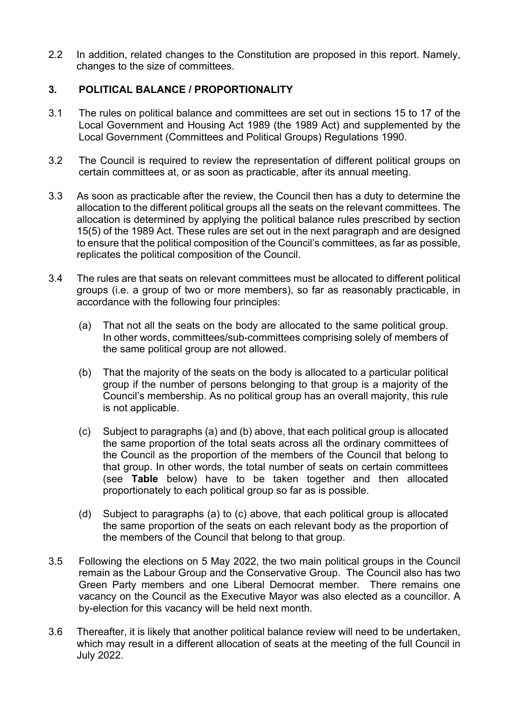2.2 In addition, related changes to the Constitution are proposed in this report. Namely, changes to the size of committees.

## **3. POLITICAL BALANCE / PROPORTIONALITY**

- 3.1 The rules on political balance and committees are set out in sections 15 to 17 of the Local Government and Housing Act 1989 (the 1989 Act) and supplemented by the Local Government (Committees and Political Groups) Regulations 1990.
- 3.2 The Council is required to review the representation of different political groups on certain committees at, or as soon as practicable, after its annual meeting.
- 3.3 As soon as practicable after the review, the Council then has a duty to determine the allocation to the different political groups all the seats on the relevant committees. The allocation is determined by applying the political balance rules prescribed by section 15(5) of the 1989 Act. These rules are set out in the next paragraph and are designed to ensure that the political composition of the Council's committees, as far as possible, replicates the political composition of the Council.
- 3.4 The rules are that seats on relevant committees must be allocated to different political groups (i.e. a group of two or more members), so far as reasonably practicable, in accordance with the following four principles:
	- (a) That not all the seats on the body are allocated to the same political group. In other words, committees/sub-committees comprising solely of members of the same political group are not allowed.
	- (b) That the majority of the seats on the body is allocated to a particular political group if the number of persons belonging to that group is a majority of the Council's membership. As no political group has an overall majority, this rule is not applicable.
	- (c) Subject to paragraphs (a) and (b) above, that each political group is allocated the same proportion of the total seats across all the ordinary committees of the Council as the proportion of the members of the Council that belong to that group. In other words, the total number of seats on certain committees (see **Table** below) have to be taken together and then allocated proportionately to each political group so far as is possible.
	- (d) Subject to paragraphs (a) to (c) above, that each political group is allocated the same proportion of the seats on each relevant body as the proportion of the members of the Council that belong to that group.
- 3.5 Following the elections on 5 May 2022, the two main political groups in the Council remain as the Labour Group and the Conservative Group. The Council also has two Green Party members and one Liberal Democrat member. There remains one vacancy on the Council as the Executive Mayor was also elected as a councillor. A by-election for this vacancy will be held next month.
- 3.6 Thereafter, it is likely that another political balance review will need to be undertaken, which may result in a different allocation of seats at the meeting of the full Council in July 2022.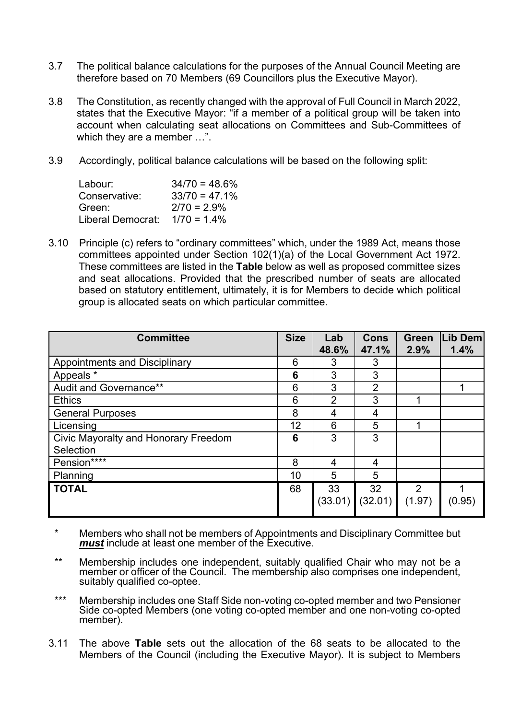- 3.7 The political balance calculations for the purposes of the Annual Council Meeting are therefore based on 70 Members (69 Councillors plus the Executive Mayor).
- 3.8 The Constitution, as recently changed with the approval of Full Council in March 2022, states that the Executive Mayor: "if a member of a political group will be taken into account when calculating seat allocations on Committees and Sub-Committees of which they are a member …".
- 3.9 Accordingly, political balance calculations will be based on the following split:

| Labour:           | $34/70 = 48.6\%$ |
|-------------------|------------------|
| Conservative:     | $33/70 = 47.1%$  |
| Green:            | $2/70 = 2.9\%$   |
| Liberal Democrat: | $1/70 = 1.4\%$   |

3.10 Principle (c) refers to "ordinary committees" which, under the 1989 Act, means those committees appointed under Section 102(1)(a) of the Local Government Act 1972. These committees are listed in the **Table** below as well as proposed committee sizes and seat allocations. Provided that the prescribed number of seats are allocated based on statutory entitlement, ultimately, it is for Members to decide which political group is allocated seats on which particular committee.

| <b>Committee</b>                     | <b>Size</b> | Lab<br>48.6%  | <b>Cons</b><br>47.1% | <b>Green</b><br>2.9%     | Lib Dem<br>1.4% |
|--------------------------------------|-------------|---------------|----------------------|--------------------------|-----------------|
| <b>Appointments and Disciplinary</b> |             | 3             | 3                    |                          |                 |
| Appeals *                            |             | 3             | 3                    |                          |                 |
| Audit and Governance**               |             | 3             | $\overline{2}$       |                          |                 |
| <b>Ethics</b>                        |             | 2             | 3                    |                          |                 |
| <b>General Purposes</b>              |             | 4             | 4                    |                          |                 |
| Licensing                            |             | 6             | 5                    |                          |                 |
| Civic Mayoralty and Honorary Freedom |             | 3             | 3                    |                          |                 |
| Selection                            |             |               |                      |                          |                 |
| Pension****                          |             | 4             | 4                    |                          |                 |
| Planning                             |             | 5             | 5                    |                          |                 |
| <b>TOTAL</b>                         | 68          | 33<br>(33.01) | 32<br>(32.01)        | $\overline{2}$<br>(1.97) | (0.95)          |

- \* Members who shall not be members of Appointments and Disciplinary Committee but *must* include at least one member of the Executive.
- \*\* Membership includes one independent, suitably qualified Chair who may not be a member or officer of the Council. The membership also comprises one independent, suitably qualified co-optee.
- \*\*\* Membership includes one Staff Side non-voting co-opted member and two Pensioner Side co-opted Members (one voting co-opted member and one non-voting co-opted member).
- 3.11 The above **Table** sets out the allocation of the 68 seats to be allocated to the Members of the Council (including the Executive Mayor). It is subject to Members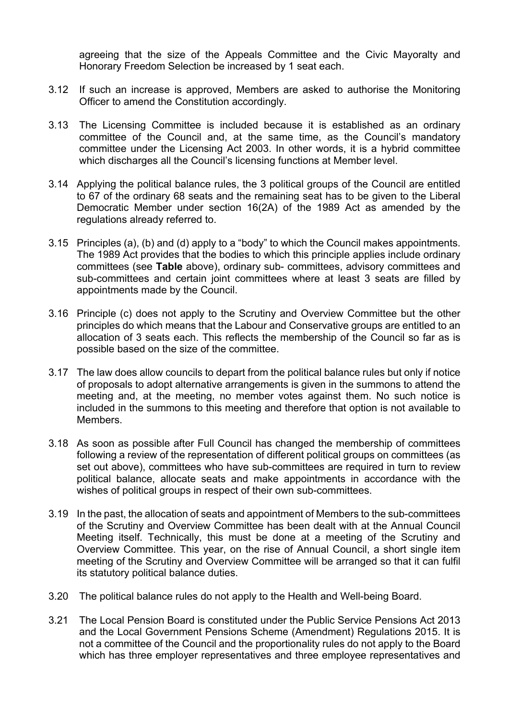agreeing that the size of the Appeals Committee and the Civic Mayoralty and Honorary Freedom Selection be increased by 1 seat each.

- 3.12 If such an increase is approved, Members are asked to authorise the Monitoring Officer to amend the Constitution accordingly.
- 3.13 The Licensing Committee is included because it is established as an ordinary committee of the Council and, at the same time, as the Council's mandatory committee under the Licensing Act 2003. In other words, it is a hybrid committee which discharges all the Council's licensing functions at Member level.
- 3.14 Applying the political balance rules, the 3 political groups of the Council are entitled to 67 of the ordinary 68 seats and the remaining seat has to be given to the Liberal Democratic Member under section 16(2A) of the 1989 Act as amended by the regulations already referred to.
- 3.15 Principles (a), (b) and (d) apply to a "body" to which the Council makes appointments. The 1989 Act provides that the bodies to which this principle applies include ordinary committees (see **Table** above), ordinary sub- committees, advisory committees and sub-committees and certain joint committees where at least 3 seats are filled by appointments made by the Council.
- 3.16 Principle (c) does not apply to the Scrutiny and Overview Committee but the other principles do which means that the Labour and Conservative groups are entitled to an allocation of 3 seats each. This reflects the membership of the Council so far as is possible based on the size of the committee.
- 3.17 The law does allow councils to depart from the political balance rules but only if notice of proposals to adopt alternative arrangements is given in the summons to attend the meeting and, at the meeting, no member votes against them. No such notice is included in the summons to this meeting and therefore that option is not available to Members.
- 3.18 As soon as possible after Full Council has changed the membership of committees following a review of the representation of different political groups on committees (as set out above), committees who have sub-committees are required in turn to review political balance, allocate seats and make appointments in accordance with the wishes of political groups in respect of their own sub-committees.
- 3.19 In the past, the allocation of seats and appointment of Members to the sub-committees of the Scrutiny and Overview Committee has been dealt with at the Annual Council Meeting itself. Technically, this must be done at a meeting of the Scrutiny and Overview Committee. This year, on the rise of Annual Council, a short single item meeting of the Scrutiny and Overview Committee will be arranged so that it can fulfil its statutory political balance duties.
- 3.20 The political balance rules do not apply to the Health and Well-being Board.
- 3.21 The Local Pension Board is constituted under the Public Service Pensions Act 2013 and the Local Government Pensions Scheme (Amendment) Regulations 2015. It is not a committee of the Council and the proportionality rules do not apply to the Board which has three employer representatives and three employee representatives and